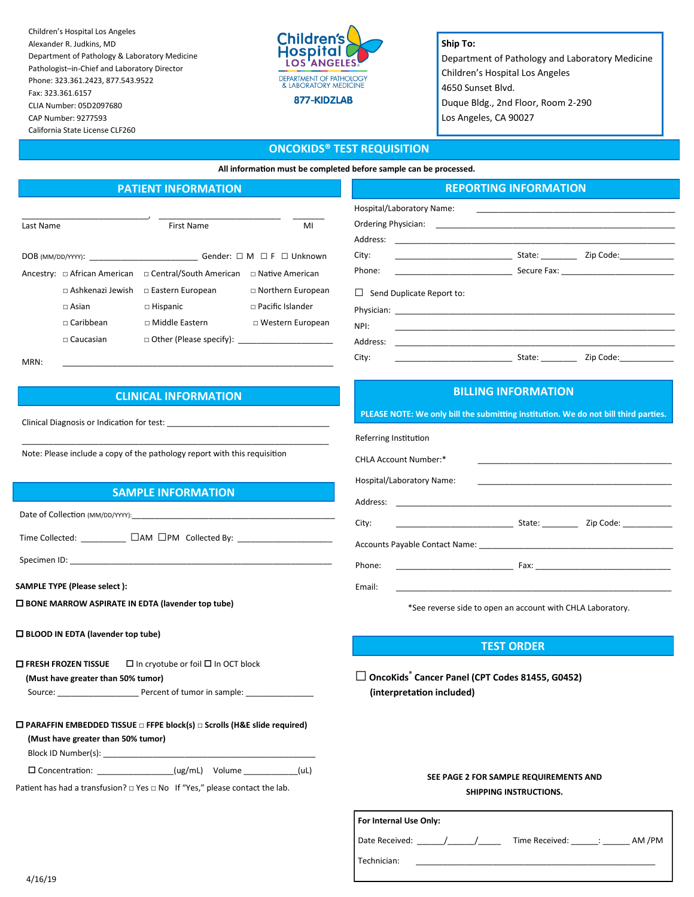Children's Hospital Los Angeles Alexander R. Judkins, MD Department of Pathology & Laboratory Medicine Pathologist–in-Chief and Laboratory Director Phone: 323.361.2423, 877.543.9522 Fax: 323.361.6157 CLIA Number: 05D2097680 CAP Number: 9277593 California State License CLF260



#### **Ship To:**

Department of Pathology and Laboratory Medicine Children's Hospital Los Angeles 4650 Sunset Blvd. Duque Bldg., 2nd Floor, Room 2-290 Los Angeles, CA 90027

# **ONCOKIDS® TEST REQUISITION**

**All information must be completed before sample can be processed.**

# **PATIENT INFORMATION**

| Last Name           |                              | First Name                     | MI                                       |  |
|---------------------|------------------------------|--------------------------------|------------------------------------------|--|
|                     |                              |                                |                                          |  |
| $DOB$ (MM/DD/YYYY): |                              |                                | Gender: $\Box$ M $\Box$ F $\Box$ Unknown |  |
|                     | Ancestry: □ African American | □ Central/South American       | □ Native American                        |  |
|                     | $\Box$ Ashkenazi Jewish      | $\Box$ Eastern European        | $\Box$ Northern European                 |  |
|                     | $\sqcap$ Asian               | $\Box$ Hispanic                | $\Box$ Pacific Islander                  |  |
|                     | $\Box$ Caribbean             | $\Box$ Middle Eastern          | □ Western European                       |  |
|                     | $\square$ Caucasian          | $\Box$ Other (Please specify): |                                          |  |
|                     |                              |                                |                                          |  |

| Address:                                                                                                                                                                  |        |                                          |  |
|---------------------------------------------------------------------------------------------------------------------------------------------------------------------------|--------|------------------------------------------|--|
| City:<br>the control of the control of the control of                                                                                                                     |        | State: _________ Zip Code: _____________ |  |
| Phone:<br><u> 1989 - Johann John Stein, fransk politik (</u>                                                                                                              |        |                                          |  |
| $\Box$ Send Duplicate Report to:                                                                                                                                          |        |                                          |  |
|                                                                                                                                                                           |        |                                          |  |
| NPI:                                                                                                                                                                      |        |                                          |  |
| Address:<br><u> 1980 - Jan James James Barbara, polit</u> ik eta <mark>aldean eta biztanle (h. 1980).</mark><br>1900 - Johann Barbara, italiar eta biztanleria (h. 1900). |        |                                          |  |
| City:                                                                                                                                                                     | State: | Zip Code:_____________                   |  |

**REPORTING INFORMATION**

MRN: \_\_\_\_\_\_\_\_\_\_\_\_\_\_\_\_\_\_\_\_\_\_\_\_\_\_\_\_\_\_\_\_\_\_\_\_\_\_\_\_\_\_\_\_\_\_\_\_\_\_\_\_\_\_\_\_\_\_\_\_

# **CLINICAL INFORMATION**

\_\_\_\_\_\_\_\_\_\_\_\_\_\_\_\_\_\_\_\_\_\_\_\_\_\_\_\_\_\_\_\_\_\_\_\_\_\_\_\_\_\_\_\_\_\_\_\_\_\_\_\_\_\_\_\_\_\_\_\_\_\_\_\_\_\_\_\_

Clinical Diagnosis or Indication for test: \_\_\_\_\_\_\_\_\_\_\_\_\_\_\_\_\_\_\_\_\_\_\_\_\_\_\_\_\_\_\_\_\_\_\_\_

Note: Please include a copy of the pathology report with this requisition

# **SAMPLE INFORMATION**

Date of Collection (MM/DD/YYYY):

Time Collected: <u></u> □AM □PM Collected By:

Specimen ID:

**SAMPLE TYPE (Please select ):** 

 **BONE MARROW ASPIRATE IN EDTA (lavender top tube)** 

#### **BLOOD IN EDTA (lavender top tube)**

 **FRESH FROZEN TISSUE**  In cryotube or foil In OCT block  **(Must have greater than 50% tumor)** Source: \_\_\_\_\_\_\_\_\_\_\_\_\_\_\_\_\_\_ Percent of tumor in sample: \_\_\_\_\_\_\_\_\_\_\_\_\_\_\_

| $\Box$ PARAFFIN EMBEDDED TISSUE $\Box$ FFPE block(s) $\Box$ Scrolls (H&E slide required) |  |                |      |
|------------------------------------------------------------------------------------------|--|----------------|------|
| (Must have greater than 50% tumor)                                                       |  |                |      |
| Block ID Number(s):                                                                      |  |                |      |
| $\Box$ Concentration:                                                                    |  | (ug/mL) Volume | (uL) |

Patient has had a transfusion? □ Yes □ No If "Yes," please contact the lab.

## **BILLING INFORMATION**

**PLEASE NOTE: We only bill the submitting institution. We do not bill third parties.**

Referring Institution

Hospital/Laboratory Name: Ordering Physician:

| CHLA Account Number:*                                                                                                                                                                                                                         |                  |  |  |  |
|-----------------------------------------------------------------------------------------------------------------------------------------------------------------------------------------------------------------------------------------------|------------------|--|--|--|
| Hospital/Laboratory Name:                                                                                                                                                                                                                     |                  |  |  |  |
|                                                                                                                                                                                                                                               |                  |  |  |  |
| City:<br><u> 1989 - Johann Harry Harry Harry Harry Harry Harry Harry Harry Harry Harry Harry Harry Harry Harry Harry Harry Harry Harry Harry Harry Harry Harry Harry Harry Harry Harry Harry Harry Harry Harry Harry Harry Harry Harry Ha</u> | State: Zip Code: |  |  |  |
|                                                                                                                                                                                                                                               |                  |  |  |  |
| Phone:<br><u> 1989 - John Harry Harry Harry Harry Harry Harry Harry Harry Harry Harry Harry Harry Harry Harry Harry Harry H</u>                                                                                                               |                  |  |  |  |
| Email:                                                                                                                                                                                                                                        |                  |  |  |  |

\*See reverse side to open an account with CHLA Laboratory.

## **TEST ORDER**

**□ OncoKids® Cancer Panel (CPT Codes 81455, G0452) (interpretation included)**

## **SEE PAGE 2 FOR SAMPLE REQUIREMENTS AND SHIPPING INSTRUCTIONS.**

| For Internal Use Only: |  |  |  |                |                         |        |
|------------------------|--|--|--|----------------|-------------------------|--------|
| Date Received:         |  |  |  | Time Received: | <u>a shekara ta 199</u> | AM /PM |
| Technician:            |  |  |  |                |                         |        |